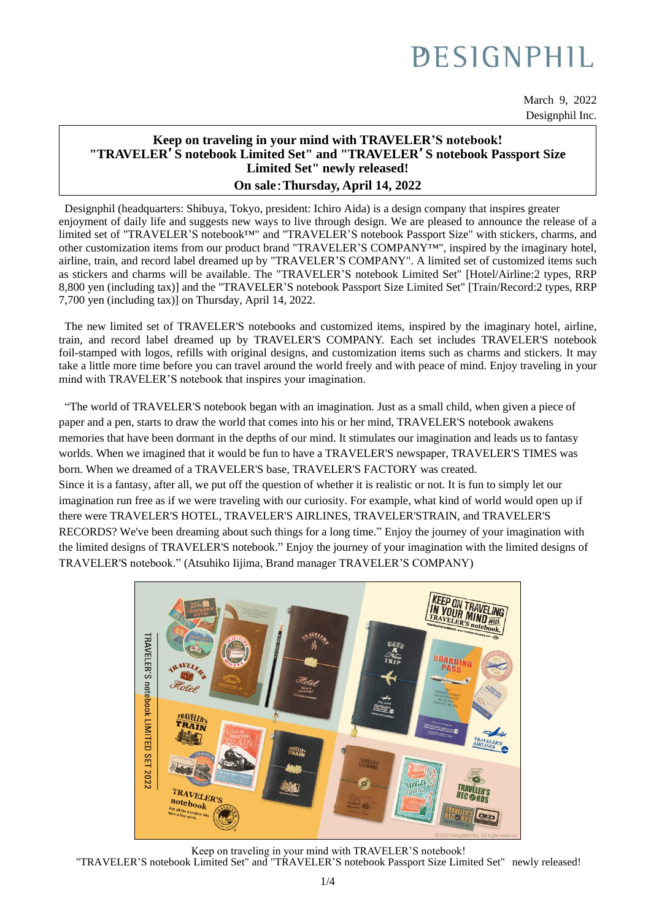# **PESIGNPHIL**

March 9, 2022 Designphil Inc.

### **Keep on traveling in your mind with TRAVELER'S notebook! "TRAVELER**'**S notebook Limited Set" and "TRAVELER**'**S notebook Passport Size Limited Set" newly released! On sale**:**Thursday, April 14, 2022**

Designphil (headquarters: Shibuya, Tokyo, president: Ichiro Aida) is a design company that inspires greater enjoyment of daily life and suggests new ways to live through design. We are pleased to announce the release of a limited set of "TRAVELER'S notebook™" and "TRAVELER'S notebook Passport Size" with stickers, charms, and **4**  $\frac{1}{2}$  #  $\frac{1}{2}$  **14**  $\frac{1}{2}$   $\frac{1}{2}$   $\frac{1}{2}$   $\frac{1}{2}$   $\frac{1}{2}$   $\frac{1}{2}$   $\frac{1}{2}$   $\frac{1}{2}$   $\frac{1$ other customization items from our product brand "TRAVELER'S COMPANY™", inspired by the imaginary hotel, airline, train, and record label dreamed up by "TRAVELER'S COMPANY". A limited set of customized items such as stickers and charms will be available. The "TRAVELER'S notebook Limited Set" [Hotel/Airline:2 types, RRP 8,800 yen (including tax)] and the "TRAVELER'S notebook Passport Size Limited Set" [Train/Record:2 types, RRP 7,700 yen (including tax)] on Thursday, April 14, 2022.

The new limited set of TRAVELER'S notebooks and customized items, inspired by the imaginary hotel, airline, train, and record label dreamed up by TRAVELER'S COMPANY. Each set includes TRAVELER'S notebook foil-stamped with logos, refills with original designs, and customization items such as charms and stickers. It may take a little more time before you can travel around the world freely and with peace of mind. Enjoy traveling in your mind with TRAVELER'S notebook that inspires your imagination.

"The world of TRAVELER'S notebook began with an imagination. Just as a small child, when given a piece of paper and a pen, starts to draw the world that comes into his or her mind, TRAVELER'S notebook awakens memories that have been dormant in the depths of our mind. It stimulates our imagination and leads us to fantasy worlds. When we imagined that it would be fun to have a TRAVELER'S newspaper, TRAVELER'S TIMES was born. When we dreamed of a TRAVELER'S base, TRAVELER'S FACTORY was created. Since it is a fantasy, after all, we put off the question of whether it is realistic or not. It is fun to simply let our imagination run free as if we were traveling with our curiosity. For example, what kind of world would open up if there were TRAVELER'S HOTEL, TRAVELER'S AIRLINES, TRAVELER'STRAIN, and TRAVELER'S RECORDS? We've been dreaming about such things for a long time." Enjoy the journey of your imagination with the limited designs of TRAVELER'S notebook." Enjoy the journey of your imagination with the limited designs of TRAVELER'S notebook." (Atsuhiko Iijima, Brand manager TRAVELER'S COMPANY)



Keep on traveling in your mind with TRAVELER'S notebook! "TRAVELER'S notebook Limited Set" and "TRAVELER'S notebook Passport Size Limited Set" newly released!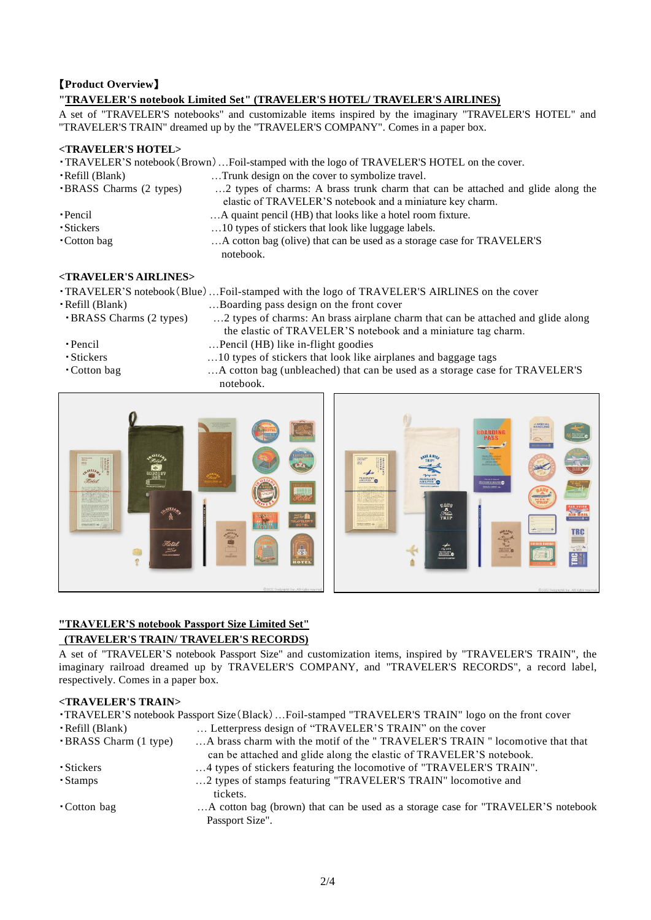### 【**Product Overview**】

### **"TRAVELER'S notebook Limited Set" (TRAVELER'S HOTEL/ TRAVELER'S AIRLINES)**

A set of "TRAVELER'S notebooks" and customizable items inspired by the imaginary "TRAVELER'S HOTEL" and "TRAVELER'S TRAIN" dreamed up by the "TRAVELER'S COMPANY". Comes in a paper box.

### **<TRAVELER'S HOTEL>**

|                               | . TRAVELER'S notebook (Brown)  Foil-stamped with the logo of TRAVELER'S HOTEL on the cover. |
|-------------------------------|---------------------------------------------------------------------------------------------|
| • Refill (Blank)              | Trunk design on the cover to symbolize travel.                                              |
| <b>BRASS</b> Charms (2 types) | 2 types of charms: A brass trunk charm that can be attached and glide along the             |
|                               | elastic of TRAVELER'S notebook and a miniature key charm.                                   |
| • Pencil                      | A quaint pencil (HB) that looks like a hotel room fixture.                                  |
| ·Stickers                     | 10 types of stickers that look like luggage labels.                                         |
| • Cotton bag                  | A cotton bag (olive) that can be used as a storage case for TRAVELER'S                      |
|                               | notebook.                                                                                   |

### **<TRAVELER'S AIRLINES>**

| <i aiklines="" kavelek="" s=""></i> |                                                                                              |
|-------------------------------------|----------------------------------------------------------------------------------------------|
|                                     | • TRAVELER'S notebook (Blue)  Foil-stamped with the logo of TRAVELER'S AIRLINES on the cover |
| • Refill (Blank)                    | Boarding pass design on the front cover                                                      |
| <b>BRASS</b> Charms (2 types)       | 2 types of charms: An brass airplane charm that can be attached and glide along              |
|                                     | the elastic of TRAVELER'S notebook and a miniature tag charm.                                |
| • Pencil                            | Pencil (HB) like in-flight goodies                                                           |
| • Stickers                          | 10 types of stickers that look like airplanes and baggage tags                               |
| • Cotton bag                        | A cotton bag (unbleached) that can be used as a storage case for TRAVELER'S                  |
|                                     | الملامية والمتعاملات                                                                         |

notebook.



## **"TRAVELER'S notebook Passport Size Limited Set"**

### **(TRAVELER'S TRAIN/ TRAVELER'S RECORDS)**

A set of "TRAVELER'S notebook Passport Size" and customization items, inspired by "TRAVELER'S TRAIN", the imaginary railroad dreamed up by TRAVELER'S COMPANY, and "TRAVELER'S RECORDS", a record label, respectively. Comes in a paper box.

### **<TRAVELER'S TRAIN>**

| <b>TRAVELER'S</b> notebook Passport Size (Black) Foil-stamped "TRAVELER'S TRAIN" logo on the front cover |                                                                                                     |  |
|----------------------------------------------------------------------------------------------------------|-----------------------------------------------------------------------------------------------------|--|
| • Refill (Blank)                                                                                         | Letterpress design of "TRAVELER'S TRAIN" on the cover                                               |  |
| <b>BRASS</b> Charm (1 type)                                                                              | A brass charm with the motif of the "TRAVELER'S TRAIN" locomotive that that                         |  |
|                                                                                                          | can be attached and glide along the elastic of TRAVELER'S notebook.                                 |  |
| • Stickers                                                                                               | 4 types of stickers featuring the locomotive of "TRAVELER'S TRAIN".                                 |  |
| • Stamps                                                                                                 | 2 types of stamps featuring "TRAVELER'S TRAIN" locomotive and<br>tickets.                           |  |
| • Cotton bag                                                                                             | A cotton bag (brown) that can be used as a storage case for "TRAVELER'S notebook<br>Passport Size". |  |
|                                                                                                          |                                                                                                     |  |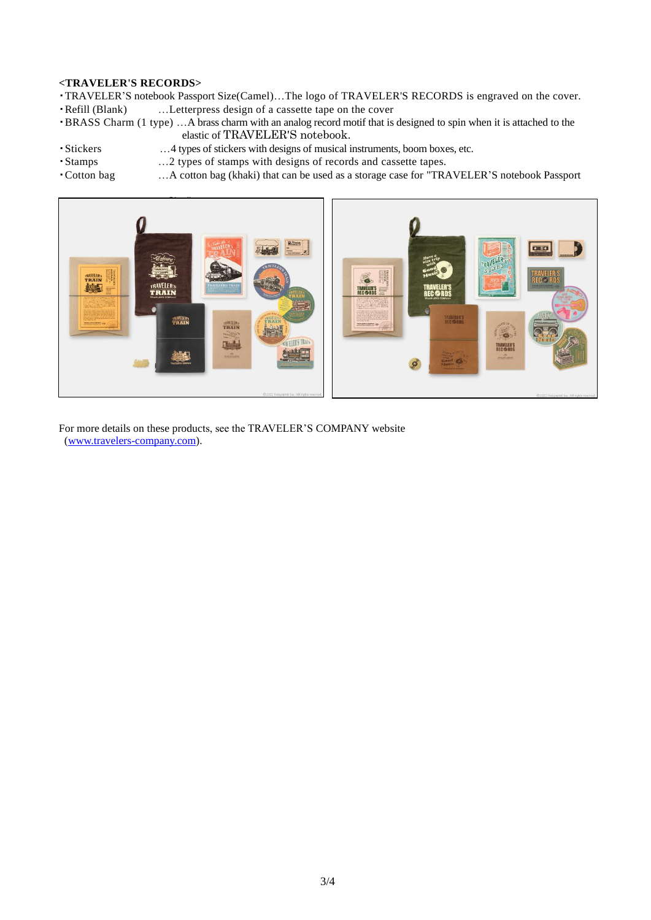### **<TRAVELER'S RECORDS>**

- ・TRAVELER'S notebook Passport Size(Camel)…The logo of TRAVELER'S RECORDS is engraved on the cover.
- ・Refill (Blank) …Letterpress design of a cassette tape on the cover
- ・BRASS Charm (1 type) …A brass charm with an analog record motif that is designed to spin when it is attached to the elastic of TRAVELER'S notebook.
- 
- ・Stickers …4 types of stickers with designs of musical instruments, boom boxes, etc. ・Stamps …2 types of stamps with designs of records and cassette tapes.
- 
- ・Cotton bag …A cotton bag (khaki) that can be used as a storage case for "TRAVELER'S notebook Passport



For more details on these products, see the TRAVELER'S COMPANY website [\(www.travelers-company.com\)](http://www.travelers-company.com/).